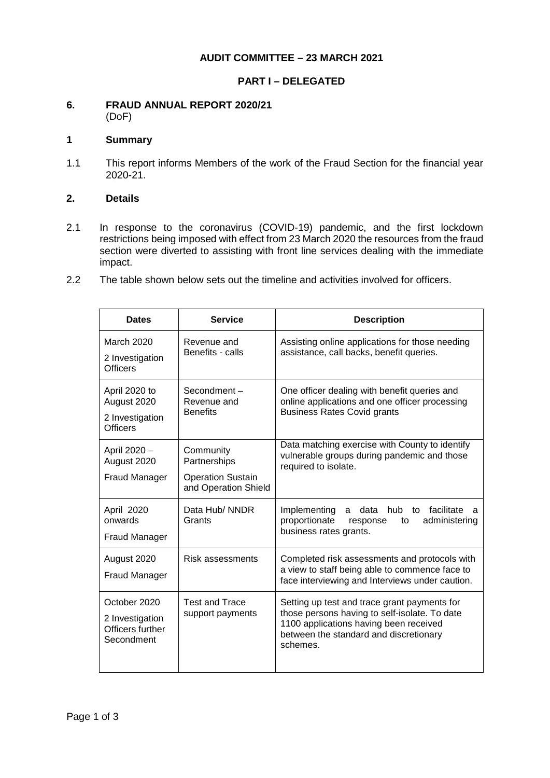## **AUDIT COMMITTEE – 23 MARCH 2021**

## **PART I – DELEGATED**

#### **6. FRAUD ANNUAL REPORT 2020/21** (DoF)

# **1 Summary**

1.1 This report informs Members of the work of the Fraud Section for the financial year 2020-21.

## **2. Details**

- 2.1 In response to the coronavirus (COVID-19) pandemic, and the first lockdown restrictions being imposed with effect from 23 March 2020 the resources from the fraud section were diverted to assisting with front line services dealing with the immediate impact.
- 2.2 The table shown below sets out the timeline and activities involved for officers.

| <b>Dates</b>                                                       | <b>Service</b>                                                                | <b>Description</b>                                                                                                                                                                            |
|--------------------------------------------------------------------|-------------------------------------------------------------------------------|-----------------------------------------------------------------------------------------------------------------------------------------------------------------------------------------------|
| <b>March 2020</b><br>2 Investigation<br><b>Officers</b>            | Revenue and<br>Benefits - calls                                               | Assisting online applications for those needing<br>assistance, call backs, benefit queries.                                                                                                   |
| April 2020 to<br>August 2020<br>2 Investigation<br><b>Officers</b> | Secondment-<br>Revenue and<br><b>Benefits</b>                                 | One officer dealing with benefit queries and<br>online applications and one officer processing<br><b>Business Rates Covid grants</b>                                                          |
| April 2020 -<br>August 2020<br><b>Fraud Manager</b>                | Community<br>Partnerships<br><b>Operation Sustain</b><br>and Operation Shield | Data matching exercise with County to identify<br>vulnerable groups during pandemic and those<br>required to isolate.                                                                         |
| April 2020<br>onwards<br><b>Fraud Manager</b>                      | Data Hub/ NNDR<br>Grants                                                      | a data hub<br>to facilitate<br>Implementing<br>a<br>proportionate<br>administering<br>response<br>to<br>business rates grants.                                                                |
| August 2020<br><b>Fraud Manager</b>                                | Risk assessments                                                              | Completed risk assessments and protocols with<br>a view to staff being able to commence face to<br>face interviewing and Interviews under caution.                                            |
| October 2020<br>2 Investigation<br>Officers further<br>Secondment  | <b>Test and Trace</b><br>support payments                                     | Setting up test and trace grant payments for<br>those persons having to self-isolate. To date<br>1100 applications having been received<br>between the standard and discretionary<br>schemes. |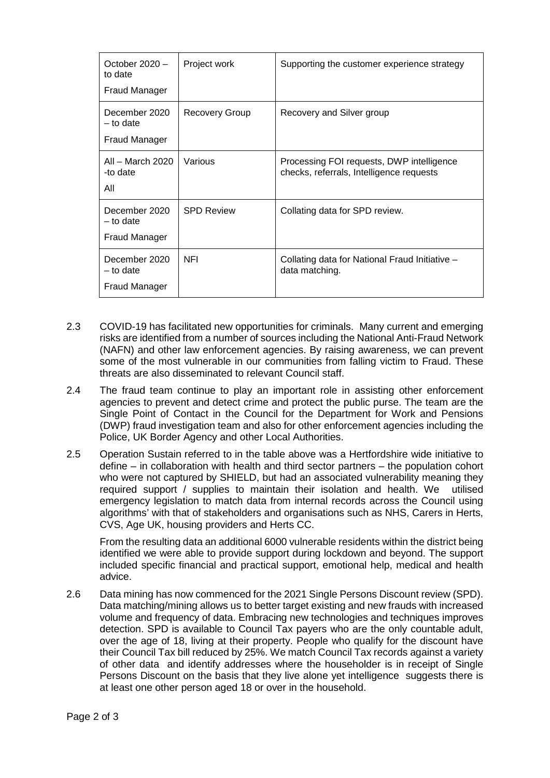| October $2020 -$<br>to date<br>Fraud Manager  | Project work          | Supporting the customer experience strategy                                           |
|-----------------------------------------------|-----------------------|---------------------------------------------------------------------------------------|
| December 2020<br>$-$ to date<br>Fraud Manager | <b>Recovery Group</b> | Recovery and Silver group                                                             |
| All – March 2020<br>-to date<br>All           | Various               | Processing FOI requests, DWP intelligence<br>checks, referrals, Intelligence requests |
| December 2020<br>$-$ to date<br>Fraud Manager | <b>SPD Review</b>     | Collating data for SPD review.                                                        |
| December 2020<br>- to date<br>Fraud Manager   | <b>NFI</b>            | Collating data for National Fraud Initiative -<br>data matching.                      |

- 2.3 COVID-19 has facilitated new opportunities for criminals. Many current and emerging risks are identified from a number of sources including the National Anti-Fraud Network (NAFN) and other law enforcement agencies. By raising awareness, we can prevent some of the most vulnerable in our communities from falling victim to Fraud. These threats are also disseminated to relevant Council staff.
- 2.4 The fraud team continue to play an important role in assisting other enforcement agencies to prevent and detect crime and protect the public purse. The team are the Single Point of Contact in the Council for the Department for Work and Pensions (DWP) fraud investigation team and also for other enforcement agencies including the Police, UK Border Agency and other Local Authorities.
- 2.5 Operation Sustain referred to in the table above was a Hertfordshire wide initiative to define – in collaboration with health and third sector partners – the population cohort who were not captured by SHIELD, but had an associated vulnerability meaning they required support / supplies to maintain their isolation and health. We utilised emergency legislation to match data from internal records across the Council using algorithms' with that of stakeholders and organisations such as NHS, Carers in Herts, CVS, Age UK, housing providers and Herts CC.

From the resulting data an additional 6000 vulnerable residents within the district being identified we were able to provide support during lockdown and beyond. The support included specific financial and practical support, emotional help, medical and health advice.

2.6 Data mining has now commenced for the 2021 Single Persons Discount review (SPD). Data matching/mining allows us to better target existing and new frauds with increased volume and frequency of data. Embracing new technologies and techniques improves detection. SPD is available to Council Tax payers who are the only countable adult, over the age of 18, living at their property. People who qualify for the discount have their Council Tax bill reduced by 25%. We match Council Tax records against a variety of other data and identify addresses where the householder is in receipt of Single Persons Discount on the basis that they live alone yet intelligence suggests there is at least one other person aged 18 or over in the household.